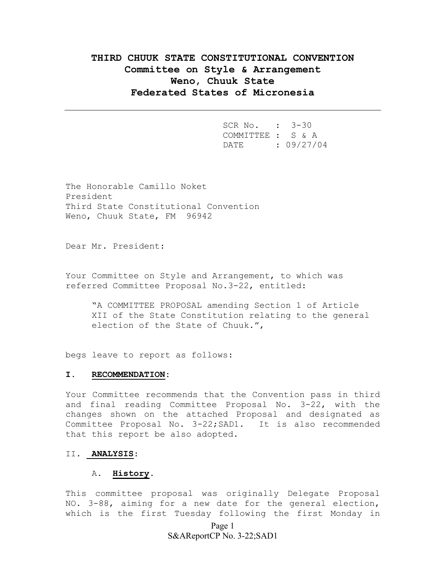# **THIRD CHUUK STATE CONSTITUTIONAL CONVENTION Committee on Style & Arrangement Weno, Chuuk State Federated States of Micronesia**

 SCR No. : 3-30 COMMITTEE : S & A DATE : 09/27/04

The Honorable Camillo Noket President Third State Constitutional Convention Weno, Chuuk State, FM 96942

Dear Mr. President:

Your Committee on Style and Arrangement, to which was referred Committee Proposal No.3-22, entitled:

"A COMMITTEE PROPOSAL amending Section 1 of Article XII of the State Constitution relating to the general election of the State of Chuuk.",

begs leave to report as follows:

#### **I. RECOMMENDATION:**

Your Committee recommends that the Convention pass in third and final reading Committee Proposal No. 3-22, with the changes shown on the attached Proposal and designated as Committee Proposal No. 3-22;SAD1. It is also recommended that this report be also adopted.

#### II. **ANALYSIS**:

### A. **History**.

This committee proposal was originally Delegate Proposal NO. 3-88, aiming for a new date for the general election, which is the first Tuesday following the first Monday in

> Page 1 S&AReportCP No. 3-22;SAD1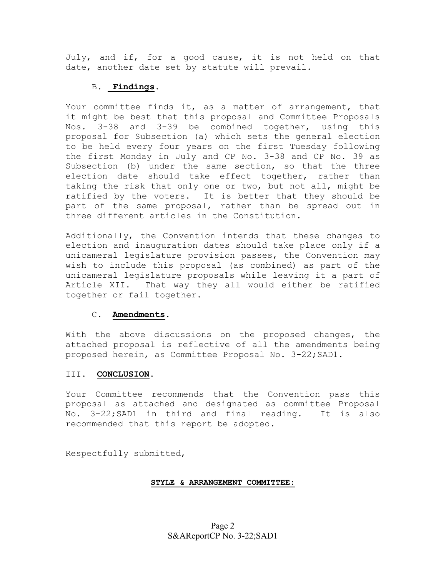July, and if, for a good cause, it is not held on that date, another date set by statute will prevail.

# B. **Findings**.

Your committee finds it, as a matter of arrangement, that it might be best that this proposal and Committee Proposals Nos. 3-38 and 3-39 be combined together, using this proposal for Subsection (a) which sets the general election to be held every four years on the first Tuesday following the first Monday in July and CP No. 3-38 and CP No. 39 as Subsection (b) under the same section, so that the three election date should take effect together, rather than taking the risk that only one or two, but not all, might be ratified by the voters. It is better that they should be part of the same proposal, rather than be spread out in three different articles in the Constitution.

Additionally, the Convention intends that these changes to election and inauguration dates should take place only if a unicameral legislature provision passes, the Convention may wish to include this proposal (as combined) as part of the unicameral legislature proposals while leaving it a part of Article XII. That way they all would either be ratified together or fail together.

# C. **Amendments**.

With the above discussions on the proposed changes, the attached proposal is reflective of all the amendments being proposed herein, as Committee Proposal No. 3-22;SAD1.

# III. **CONCLUSION**.

Your Committee recommends that the Convention pass this proposal as attached and designated as committee Proposal No. 3-22;SAD1 in third and final reading. It is also recommended that this report be adopted.

Respectfully submitted,

### **STYLE & ARRANGEMENT COMMITTEE:**